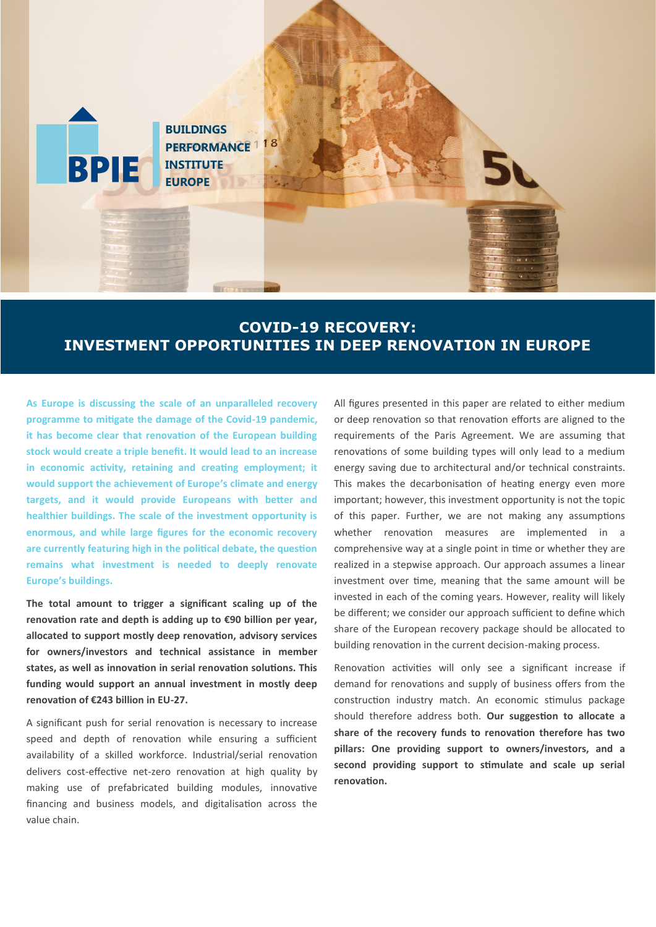

# **COVID-19 RECOVERY: INVESTMENT OPPORTUNITIES IN DEEP RENOVATION IN EUROPE**

**As Europe is discussing the scale of an unparalleled recovery programme to mitigate the damage of the Covid-19 pandemic, it has become clear that renovation of the European building stock would create a triple benefit. It would lead to an increase in economic activity, retaining and creating employment; it would support the achievement of Europe's climate and energy targets, and it would provide Europeans with better and healthier buildings. The scale of the investment opportunity is enormous, and while large figures for the economic recovery are currently featuring high in the political debate, the question remains what investment is needed to deeply renovate Europe's buildings.**

**The total amount to trigger a significant scaling up of the renovation rate and depth is adding up to €90 billion per year, allocated to support mostly deep renovation, advisory services for owners/investors and technical assistance in member states, as well as innovation in serial renovation solutions. This funding would support an annual investment in mostly deep renovation of €243 billion in EU-27.** 

A significant push for serial renovation is necessary to increase speed and depth of renovation while ensuring a sufficient availability of a skilled workforce. Industrial/serial renovation delivers cost-effective net-zero renovation at high quality by making use of prefabricated building modules, innovative financing and business models, and digitalisation across the value chain.

All figures presented in this paper are related to either medium or deep renovation so that renovation efforts are aligned to the requirements of the Paris Agreement. We are assuming that renovations of some building types will only lead to a medium energy saving due to architectural and/or technical constraints. This makes the decarbonisation of heating energy even more important; however, this investment opportunity is not the topic of this paper. Further, we are not making any assumptions whether renovation measures are implemented in a comprehensive way at a single point in time or whether they are realized in a stepwise approach. Our approach assumes a linear investment over time, meaning that the same amount will be invested in each of the coming years. However, reality will likely be different; we consider our approach sufficient to define which share of the European recovery package should be allocated to building renovation in the current decision-making process.

Renovation activities will only see a significant increase if demand for renovations and supply of business offers from the construction industry match. An economic stimulus package should therefore address both. **Our suggestion to allocate a share of the recovery funds to renovation therefore has two pillars: One providing support to owners/investors, and a second providing support to stimulate and scale up serial renovation.**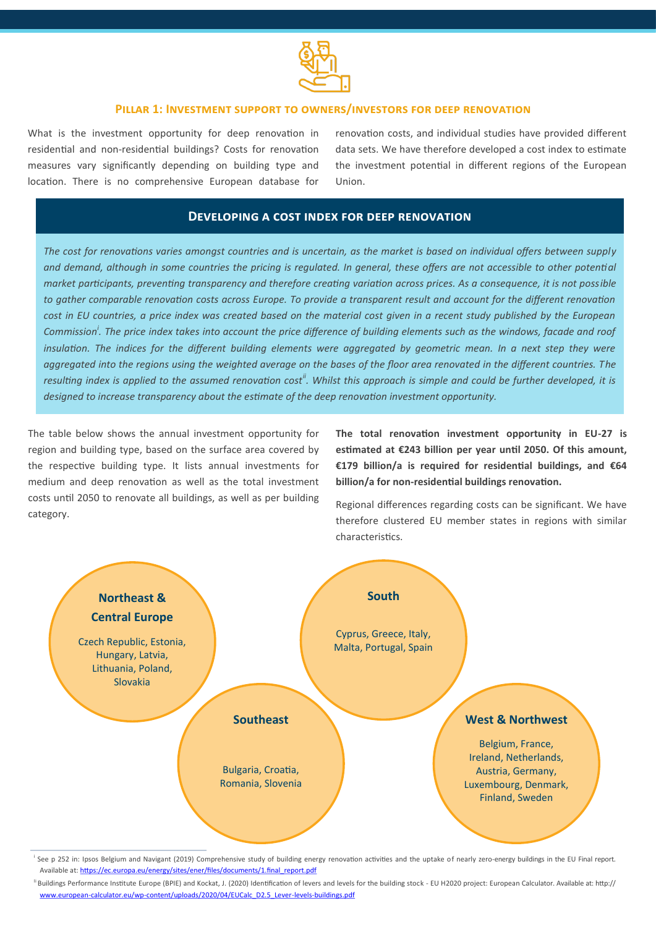

### **Pillar 1: Investment support to owners/investors for deep renovation**

What is the investment opportunity for deep renovation in residential and non-residential buildings? Costs for renovation measures vary significantly depending on building type and location. There is no comprehensive European database for renovation costs, and individual studies have provided different data sets. We have therefore developed a cost index to estimate the investment potential in different regions of the European Union.

## **Developing a cost index for deep renovation**

*The cost for renovations varies amongst countries and is uncertain, as the market is based on individual offers between supply and demand, although in some countries the pricing is regulated. In general, these offers are not accessible to other potential market participants, preventing transparency and therefore creating variation across prices. As a consequence, it is not possible to gather comparable renovation costs across Europe. To provide a transparent result and account for the different renovation cost in EU countries, a price index was created based on the material cost given in a recent study published by the European Commission<sup>i</sup> . The price index takes into account the price difference of building elements such as the windows, facade and roof*  insulation. The indices for the different building elements were aggregated by geometric mean. In a next step they were *aggregated into the regions using the weighted average on the bases of the floor area renovated in the different countries. The resulting index is applied to the assumed renovation costii. Whilst this approach is simple and could be further developed, it is designed to increase transparency about the estimate of the deep renovation investment opportunity.*

The table below shows the annual investment opportunity for region and building type, based on the surface area covered by the respective building type. It lists annual investments for medium and deep renovation as well as the total investment costs until 2050 to renovate all buildings, as well as per building category.

**The total renovation investment opportunity in EU-27 is estimated at €243 billion per year until 2050. Of this amount, €179 billion/a is required for residential buildings, and €64 billion/a for non-residential buildings renovation.** 

Regional differences regarding costs can be significant. We have therefore clustered EU member states in regions with similar characteristics.



See p 252 in: Ipsos Belgium and Navigant (2019) Comprehensive study of building energy renovation activities and the uptake of nearly zero-energy buildings in the EU Final report. Available at: [https://ec.europa.eu/energy/sites/ener/files/documents/1.final\\_report.pdf](https://ec.europa.eu/energy/sites/ener/files/documents/1.final_report.pdf)

Ii Buildings Performance Institute Europe (BPIE) and Kockat, J. (2020) Identification of levers and levels for the building stock - EU H2020 project: European Calculator. Available at: http:// www.european-calculator.eu/wp-[content/uploads/2020/04/EUCalc\\_D2.5\\_Lever](http://www.european-calculator.eu/wp-content/uploads/2020/04/EUCalc_D2.5_Lever-levels-buildings.pdf)-levels-buildings.pdf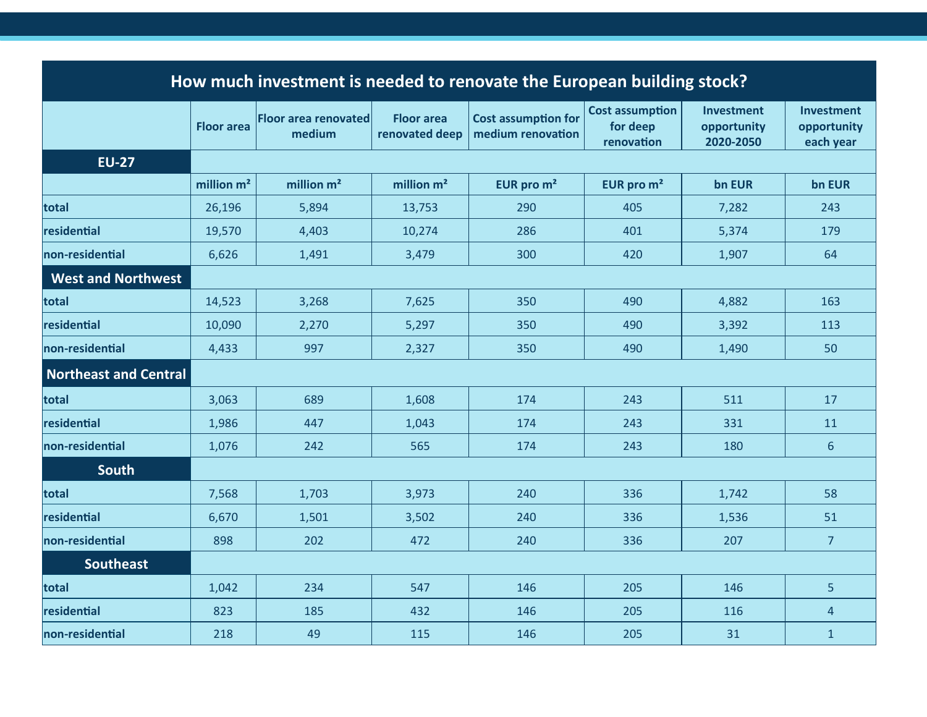| How much investment is needed to renovate the European building stock? |                   |                                       |                                     |                                                 |                                                  |                                               |                                               |
|------------------------------------------------------------------------|-------------------|---------------------------------------|-------------------------------------|-------------------------------------------------|--------------------------------------------------|-----------------------------------------------|-----------------------------------------------|
|                                                                        | <b>Floor area</b> | <b>Floor area renovated</b><br>medium | <b>Floor area</b><br>renovated deep | <b>Cost assumption for</b><br>medium renovation | <b>Cost assumption</b><br>for deep<br>renovation | <b>Investment</b><br>opportunity<br>2020-2050 | <b>Investment</b><br>opportunity<br>each year |
| <b>EU-27</b>                                                           |                   |                                       |                                     |                                                 |                                                  |                                               |                                               |
|                                                                        | million $m2$      | million $m2$                          | million $m2$                        | EUR pro m <sup>2</sup>                          | EUR pro $m2$                                     | bn EUR                                        | bn EUR                                        |
| total                                                                  | 26,196            | 5,894                                 | 13,753                              | 290                                             | 405                                              | 7,282                                         | 243                                           |
| residential                                                            | 19,570            | 4,403                                 | 10,274                              | 286                                             | 401                                              | 5,374                                         | 179                                           |
| non-residential                                                        | 6,626             | 1,491                                 | 3,479                               | 300                                             | 420                                              | 1,907                                         | 64                                            |
| <b>West and Northwest</b>                                              |                   |                                       |                                     |                                                 |                                                  |                                               |                                               |
| total                                                                  | 14,523            | 3,268                                 | 7,625                               | 350                                             | 490                                              | 4,882                                         | 163                                           |
| residential                                                            | 10,090            | 2,270                                 | 5,297                               | 350                                             | 490                                              | 3,392                                         | 113                                           |
| non-residential                                                        | 4,433             | 997                                   | 2,327                               | 350                                             | 490                                              | 1,490                                         | 50                                            |
| <b>Northeast and Central</b>                                           |                   |                                       |                                     |                                                 |                                                  |                                               |                                               |
| total                                                                  | 3,063             | 689                                   | 1,608                               | 174                                             | 243                                              | 511                                           | 17                                            |
| residential                                                            | 1,986             | 447                                   | 1,043                               | 174                                             | 243                                              | 331                                           | 11                                            |
| non-residential                                                        | 1,076             | 242                                   | 565                                 | 174                                             | 243                                              | 180                                           | $6\phantom{1}$                                |
| <b>South</b>                                                           |                   |                                       |                                     |                                                 |                                                  |                                               |                                               |
| total                                                                  | 7,568             | 1,703                                 | 3,973                               | 240                                             | 336                                              | 1,742                                         | 58                                            |
| residential                                                            | 6,670             | 1,501                                 | 3,502                               | 240                                             | 336                                              | 1,536                                         | 51                                            |
| non-residential                                                        | 898               | 202                                   | 472                                 | 240                                             | 336                                              | 207                                           | $\overline{7}$                                |
| <b>Southeast</b>                                                       |                   |                                       |                                     |                                                 |                                                  |                                               |                                               |
| total                                                                  | 1,042             | 234                                   | 547                                 | 146                                             | 205                                              | 146                                           | 5                                             |
| residential                                                            | 823               | 185                                   | 432                                 | 146                                             | 205                                              | 116                                           | 4                                             |
| non-residential                                                        | 218               | 49                                    | 115                                 | 146                                             | 205                                              | 31                                            | $\mathbf{1}$                                  |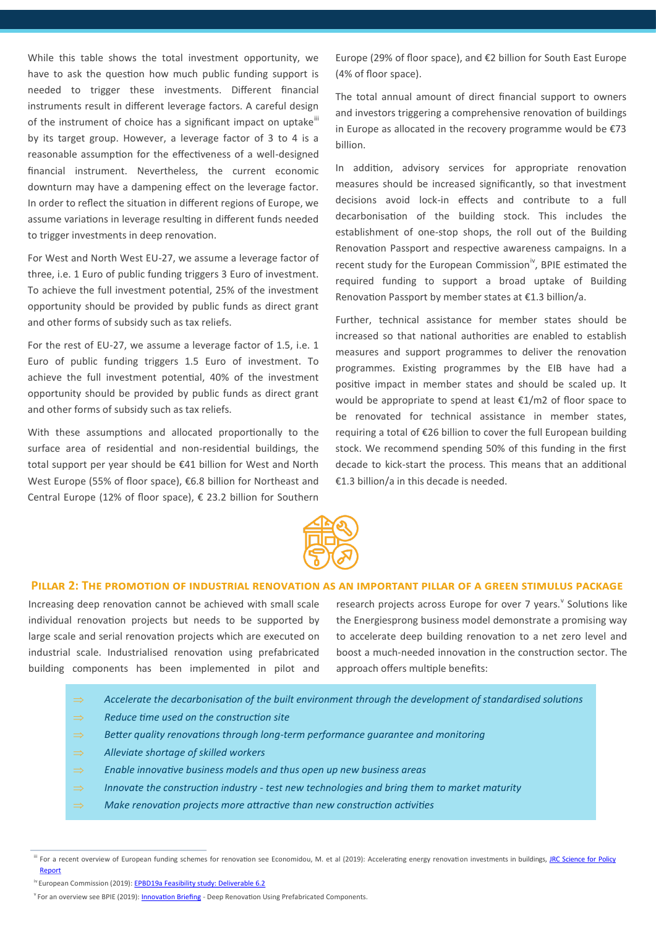While this table shows the total investment opportunity, we have to ask the question how much public funding support is needed to trigger these investments. Different financial instruments result in different leverage factors. A careful design of the instrument of choice has a significant impact on uptake<sup>iii</sup> by its target group. However, a leverage factor of 3 to 4 is a reasonable assumption for the effectiveness of a well-designed financial instrument. Nevertheless, the current economic downturn may have a dampening effect on the leverage factor. In order to reflect the situation in different regions of Europe, we assume variations in leverage resulting in different funds needed to trigger investments in deep renovation.

For West and North West EU-27, we assume a leverage factor of three, i.e. 1 Euro of public funding triggers 3 Euro of investment. To achieve the full investment potential, 25% of the investment opportunity should be provided by public funds as direct grant and other forms of subsidy such as tax reliefs.

For the rest of EU-27, we assume a leverage factor of 1.5, i.e. 1 Euro of public funding triggers 1.5 Euro of investment. To achieve the full investment potential, 40% of the investment opportunity should be provided by public funds as direct grant and other forms of subsidy such as tax reliefs.

With these assumptions and allocated proportionally to the surface area of residential and non-residential buildings, the total support per year should be €41 billion for West and North West Europe (55% of floor space), €6.8 billion for Northeast and Central Europe (12% of floor space), € 23.2 billion for Southern Europe (29% of floor space), and €2 billion for South East Europe (4% of floor space).

The total annual amount of direct financial support to owners and investors triggering a comprehensive renovation of buildings in Europe as allocated in the recovery programme would be  $E$ 73 billion.

In addition, advisory services for appropriate renovation measures should be increased significantly, so that investment decisions avoid lock-in effects and contribute to a full decarbonisation of the building stock. This includes the establishment of one-stop shops, the roll out of the Building Renovation Passport and respective awareness campaigns. In a recent study for the European Commission<sup>iv</sup>, BPIE estimated the required funding to support a broad uptake of Building Renovation Passport by member states at €1.3 billion/a.

Further, technical assistance for member states should be increased so that national authorities are enabled to establish measures and support programmes to deliver the renovation programmes. Existing programmes by the EIB have had a positive impact in member states and should be scaled up. It would be appropriate to spend at least €1/m2 of floor space to be renovated for technical assistance in member states, requiring a total of €26 billion to cover the full European building stock. We recommend spending 50% of this funding in the first decade to kick-start the process. This means that an additional €1.3 billion/a in this decade is needed.



### **Pillar 2: The promotion of industrial renovation as an important pillar of a green stimulus package**

Increasing deep renovation cannot be achieved with small scale individual renovation projects but needs to be supported by large scale and serial renovation projects which are executed on industrial scale. Industrialised renovation using prefabricated building components has been implemented in pilot and

research projects across Europe for over 7 years. <sup>V</sup> Solutions like the Energiesprong business model demonstrate a promising way to accelerate deep building renovation to a net zero level and boost a much-needed innovation in the construction sector. The approach offers multiple benefits:

- $\Rightarrow$  Accelerate the decarbonisation of the built environment through the development of standardised solutions
- *Reduce time used on the construction site*
- *Better quality renovations through long-term performance guarantee and monitoring*
- *Alleviate shortage of skilled workers*
- *Enable innovative business models and thus open up new business areas*
- $\Rightarrow$  Innovate the construction industry *-* test new technologies and bring them to market maturity
- $\Rightarrow$  Make renovation projects more attractive than new construction activities

iii For a recent overview of European funding schemes for renovation see Economidou, M. et al (2019): Accelerating energy renovation investments in buildings, JRC Science for Policy [Report](https://ec.europa.eu/jrc/en/search/site/JRC117816)

<sup>&</sup>lt;sup>iv</sup> European Commission (2019): **EPBD19a Feasibility study: Deliverable 6.2** 

<sup>&</sup>lt;sup>v</sup> For an overview see BPIE (2019): **Innovation Briefing** - Deep Renovation Using Prefabricated Components.